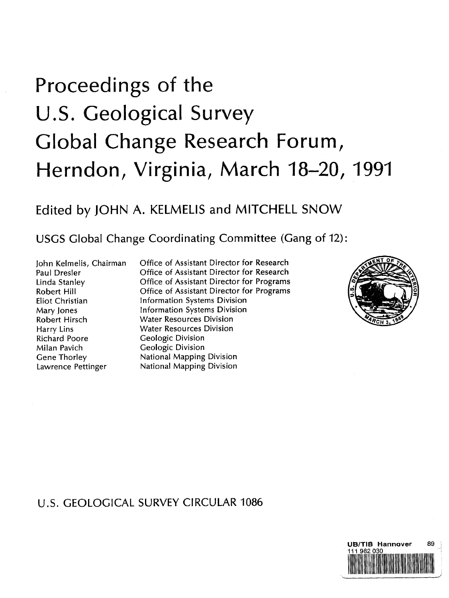## Proceedings of the U.S. Geological Survey Global Change Research Forum, Herndon, Virginia, March 18-20, 1991

## Edited by JOHN A. KELMELIS and MITCHELL SNOW

USGS Global Change Coordinating Committee (Gang of 12):

John Kelmelis, Chairman Paul Dresler Linda Stanley Robert Hill Eliot Christian Mary Jones Robert Hirsch Harry Lins Richard Poore Milan Pavich Gene Thorley Lawrence Pettinger

Office of Assistant Director for Research Office of Assistant Director for Research Office of Assistant Director for Programs Office of Assistant Director for Programs Information Systems Division Information Systems Division Water Resources Division Water Resources Division Geologic Division Geologic Division National Mapping Division National Mapping Division



## U.S. GEOLOGICAL SURVEY CIRCULAR 1086

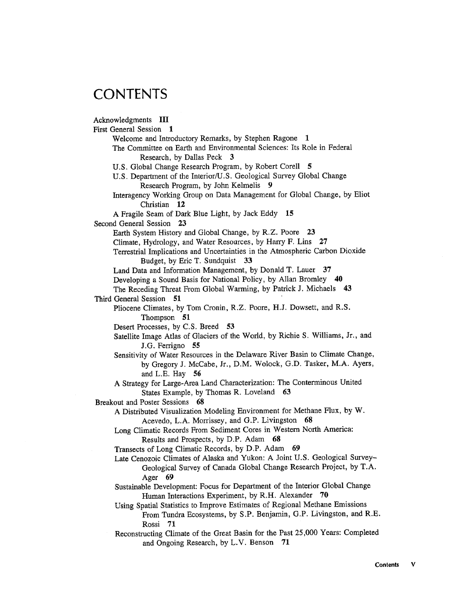## CONTENTS

Acknowledgments III First General Session 1 Welcome and Introductory Remarks, by Stephen Ragone 1 The Committee on Earth and Environmental Sciences: Its Role in Federal Research, by Dallas Peck 3 U.S. Global Change Research Program, by Robert Corell 5 U.S. Department of the Interior/U.S. Geological Survey Global Change Research Program, by John Kelmelis 9 Interagency Working Group on Data Management for Global Change, by Eliot Christian 12 A Fragile Seam of Dark Blue Light, by Jack Eddy <sup>15</sup> Second General Session 23 Earth System History and Global Change, by R.Z. Poore 23 Climate, Hydrology, and Water Resources, by Harry F. Lins 27 Terrestrial Implications and Uncertainties in the Atmospheric Carbon Dioxide Budget, by Eric T. Sundquist 33 Land Data and Information Management, by Donald T. Lauer 37 Developing <sup>a</sup> Sound Basis for National Policy, by Allan Bromley 40 The Receding Threat From Global Warming, by Patrick J. Michaels 43 Third General Session 51 Pliocene Climates, by Tom Cronin, R.Z. Poore, H.J. Dowsett, and R.S. Thompson 51 Desert Processes, by C.S. Breed 53 Satellite Image Atlas of Glaciers of the World, by Richie S. Williams, Jr., and J.G. Ferrigno 55 Sensitivity of Water Resources in the Delaware River Basin to Climate Change, by Gregory J. McCabe, Jr., D.M. Wolock, G.D. Tasker, M.A. Ayers, and L.E. Hay 56 A Strategy for Large-Area Land Characterization: The Conterminous United States Example, by Thomas R. Loveland 63 Breakout and Poster Sessions 68 A Distributed Visualization Modeling Environment for Methane Flux, by W. Acevedo, L.A. Morrissey, and G.P. Livingston 68 Long Climatic Records From Sediment Cores in Western North America: Results and Prospects, by D.P. Adam <sup>68</sup> Transects of Long Climatic Records, by D.P. Adam <sup>69</sup> Late Cenozoic Climates of Alaska and Yukon: A Joint U.S. Geological Survey-Geological Survey of Canada Global Change Research Project, by T.A. Ager 69 Sustainable Development: Focus for Department of the Interior Global Change Human Interactions Experiment, by R.H. Alexander 70 Using Spatial Statistics to Improve Estimates of Regional Methane Emissions From Tundra Ecosystems, by S.P. Benjamin, G.P. Livingston, and R.E. Rossi 71 Reconstructing Climate of the Great Basin for the Past 25,000 Years: Completed and Ongoing Research, by L.V. Benson 71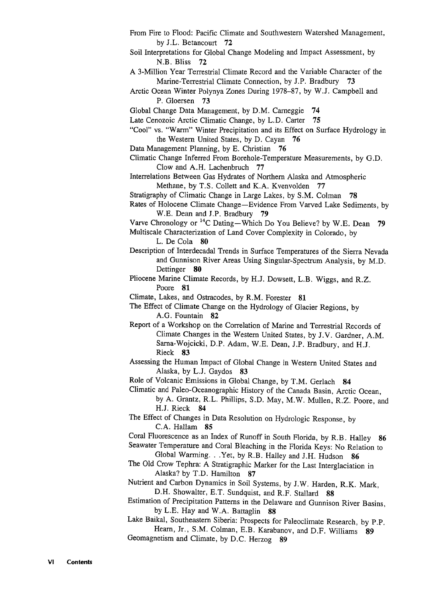From Fire to Flood: Pacific Climate and Southwestern Watershed Management, by J.L. Betancourt 72 Soil Interpretations for Global Change Modeling and Impact Assessment, by N.B. Bliss 72 A 3-Million Year Terrestrial Climate Record and the Variable Character of the Marine-Terrestrial Climate Connection, by J.P. Bradbury 73 Arctic Ocean Winter Polynya Zones During 1978-87, by W.J. Campbell and P. Gloersen 73 Global Change Data Management, by D.M. Carneggie 74 Late Cenozoic Arctic Climatic Change, by L.D. Carter 75 "Cool" vs. "Warm" Winter Precipitation and its Effect on Surface Hydrology in the Western United States, by D. Cayan 76 Data Management Planning, by E. Christian 76 Climatic Change Inferred From Borehole-Temperature Measurements, by G.D. Clow and A.H. Lachenbruch 77 Interrelations Between Gas Hydrates of Northern Alaska and Atmospheric Methane, by T.S. Collett and K.A. Kvenvolden 77 Stratigraphy of Climatic Change in Large Lakes, by S.M. Colman 78 Rates of Holocene Climate Change—Evidence From Varved Lake Sediments, by W.E. Dean and J.P. Bradbury 79 Varve Chronology or  $^{14}$ C Dating—Which Do You Believe? by W.E. Dean 79 Multiscale Characterization of Land Cover Complexity in Colorado, by L. De Cola 80 Description of Interdecadal Trends in Surface Temperatures of the Sierra Nevada and Gunnison River Areas Using Singular-Spectrum Analysis, by M.D. Dettinger 80 Pliocene Marine Climate Records, by H.J. Dowsett, L.B. Wiggs, and R.Z. Poore 81 Climate, Lakes, and Ostracodes, by R.M. Forester <sup>81</sup> The Effect of Climate Change on the Hydrology of Glacier Regions, by A.G. Fountain 82 Report of <sup>a</sup> Workshop on the Correlation of Marine and Terrestrial Records of Climate Changes in the Western United States, by J.V. Gardner, A.M. Sarna-Wojcicki, D.P. Adam, W.E. Dean, J.P. Bradbury, and HJ. Rieck 83 Assessing the Human Impact of Global Change in Western United States and Alaska, by L.J. Gaydos 83 Role of Volcanic Emissions in Global Change, by T.M. Gerlach <sup>84</sup> Climatic and Paleo-Oceanographic History of the Canada Basin, Arctic Ocean, by A. Grantz, R.L. Phillips, S.D. May, M.W. Mullen, R.Z. Poore, and H.J. Rieck 84 The Effect of Changes in Data Resolution on Hydrologic Response, by C.A. Hallam 85 Coral Fluorescence as an Index of Runoff in South Florida, by R.B. Halley 86 Seawater Temperature and Coral Bleaching in the Florida Keys: No Relation to Global Warming. . .Yet, by R.B. Halley and J.H. Hudson 86 The Old Crow Tephra: A Stratigraphic Marker for the Last Interglaciation in Alaska? by T.D. Hamilton 87 Nutrient and Carbon Dynamics in Soil Systems, by J.W. Harden, R.K. Mark, D.H. Showalter, E.T. Sundquist, and R.F. Stallard 88 Estimation of Precipitation Patterns in the Delaware and Gunnison River Basins, by L.E. Hay and W.A. Battaglin 88 Lake Baikal, Southeastern Siberia: Prospects for Paleoclimate Research, by P.P. Hearn, Jr., S.M. Colman, E.B. Karabanov, and D.F. Williams 89 Geomagnetism and Climate, by D.C. Herzog <sup>89</sup>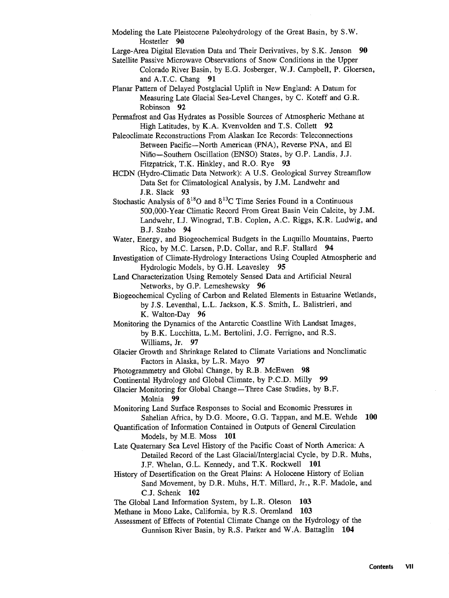- Modeling the Late Pleistocene Paleohydrology of the Great Basin, by S.W. Hostetler 90
- Large-Area Digital Elevation Data and Their Derivatives, by S.K. Jenson 90
- Satellite Passive Microwave Observations of Snow Conditions in the Upper
	- Colorado River Basin, by E.G. Josberger, W.J. Campbell, P. Gloersen, and A.T.C. Chang 91
- Planar Pattern of Delayed Postglacial Uplift in New England: A Datum for Measuring Late Glacial Sea-Level Changes, by C. Koteff and G.R. Robinson 92
- Permafrost and Gas Hydrates as Possible Sources of Atmospheric Methane at High Latitudes, by K.A. Kvenvolden and T.S. Collett 92
- Paleoclimate Reconstructions From Alaskan Ice Records: Teleconnections Between Pacific—North American (PNA), Reverse PNA, and El Nino—Southern Oscillation (ENSO) States, by G.P. Landis, J.J. Fitzpatrick, T.K. Hinkley, and R.O. Rye 93
- HCDN (Hydro-Climatic Data Network): A U.S. Geological Survey Streamflow Data Set for Climatological Analysis, by J.M. Landwehr and J.R. Slack 93
- Stochastic Analysis of  $\delta^{18}O$  and  $\delta^{13}C$  Time Series Found in a Continuous 500,000-Year Climatic Record From Great Basin Vein Calcite, by J.M. Landwehr, I.J. Winograd, T.B. Coplen, A.C. Riggs, K.R. Ludwig, and B.J. Szabo 94
- Water, Energy, and Biogeochemical Budgets in the Luquillo Mountains, Puerto Rico, by M.C. Larsen, P.D. Collar, and R.F. Stallard 94
- Investigation of Climate-Hydrology Interactions Using Coupled Atmospheric and Hydrologic Models, by G.H. Leavesley 95
- Land Characterization Using Remotely Sensed Data and Artificial Neural Networks, by G.P. Lemeshewsky 96
- Biogeochemical Cycling of Carbon and Related Elements in Estuarine Wetlands, by J.S. Leventhal, L.L. Jackson, K.S. Smith, L. Balistrieri, and K. Walton-Day 96
- Monitoring the Dynamics of the Antarctic Coastline With Landsat Images, by B.K. Lucchitta, L.M. Bertolini, J.G. Ferrigno, and R.S. Williams, Jr. 97
- Glacier Growth and Shrinkage Related to Climate Variations and Nonclimatic Factors in Alaska, by L.R. Mayo 97
- Photogrammetry and Global Change, by R.B. McEwen 98
- Continental Hydrology and Global Climate, by P.C.D. Milly 99

Glacier Monitoring for Global Change—Three Case Studies, by B.F. Molnia 99

- Monitoring Land Surface Responses to Social and Economic Pressures in Sahelian Africa, by D.G. Moore, G.G. Tappan, and M.E. Wehde 100
- Quantification of Information Contained in Outputs of General Circulation Models, by M.E. Moss 101
- Late Quaternary Sea Level History of the Pacific Coast of North America: A Detailed Record of the Last Glacial/Interglacial Cycle, by D.R. Muhs, J.F. Whelan, G.L. Kennedy, and T.K. Rockwell 101
- History of Desertification on the Great Plains: A Holocene History of Eolian Sand Movement, by D.R. Muhs, H.T. Millard, Jr., R.F. Madole, and C.J. Schenk 102
- The Global Land Information System, by L.R. Oleson 103
- Methane in Mono Lake, California, by R.S. Oremland 103
- Assessment of Effects of Potential Climate Change on the Hydrology of the Gunnison River Basin, by R.S. Parker and W.A. Battaglin 104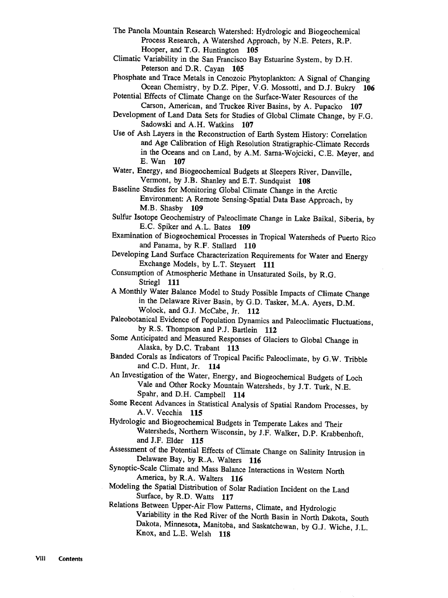- The Panola Mountain Research Watershed: Hydrologic and Biogeochemical Process Research, A Watershed Approach, by N.E. Peters, R.P. Hooper, and T.G. Huntington 105
- Climatic Variability in the San Francisco Bay Estuarine System, by D.H. Peterson and D.R. Cayan 105
- Phosphate and Trace Metals in Cenozoic Phytoplankton: A Signal of Changing Ocean Chemistry, by D.Z. Piper, V.G. Mossotti, and D.J. Bukry <sup>106</sup>
- Potential Effects of Climate Change on the Surface-Water Resources of the Carson, American, and Truckee River Basins, by A. Pupacko 107
- Development of Land Data Sets for Studies of Global Climate Change, by F.G. Sadowski and A.H. Watkins 107
- Use of Ash Layers in the Reconstruction of Earth System History: Correlation and Age Calibration of High Resolution Stratigraphic-Climate Records in the Oceans and on Land, by A.M. Sarna-Wojcicki, C.E. Meyer, and E. Wan 107

Water, Energy, and Biogeochemical Budgets at Sleepers River, Danville, Vermont, by J.B. Shanley and E.T. Sundquist 108

Baseline Studies for Monitoring Global Climate Change in the Arctic Environment: <sup>A</sup> Remote Sensing-Spatial Data Base Approach, by M.B. Shasby <sup>109</sup>

Sulfur Isotope Geochemistry of Paleoclimate Change in Lake Baikal, Siberia, by E.C. Spiker and A.L. Bates <sup>109</sup>

Examination of Biogeochemical Processes in Tropical Watersheds of Puerto Rico and Panama, by R.F. Stallard 110

Developing Land Surface Characterization Requirements for Water and Energy Exchange Models, by L.T. Steyaert 111

Consumption of Atmospheric Methane in Unsaturated Soils, by R.G. Striegl 111

<sup>A</sup> Monthly Water Balance Model to Study Possible Impacts of Climate Change in the Delaware River Basin, by G.D. Tasker, M.A. Ayers, D.M. Wolock, and G.J. McCabe, Jr. 112

- Paleobotanical Evidence of Population Dynamics and Paleoclimatic Fluctuations, by R.S. Thompson and P.J. Bartlein 112
- Some Anticipated and Measured Responses of Glaciers to Global Change in Alaska, by D.C. Trabant 113

Banded Corals as Indicators of Tropical Pacific Paleoclimate, by G.W. Tribble and C.D. Hunt, Jr. 114

An Investigation of the Water, Energy, and Biogeochemical Budgets of Loch Vale and Other Rocky Mountain Watersheds, by J.T. Turk, N.E. Spahr, and D.H. Campbell 114

Some Recent Advances in Statistical Analysis of Spatial Random Processes, by A.V. Vecchia 115

Hydrologic and Biogeochemical Budgets in Temperate Lakes and Their Watersheds, Northern Wisconsin, by J.F. Walker, D.P. Krabbenhoft, and J.F. Elder 115

Assessment of the Potential Effects of Climate Change on Salinity Intrusion in Delaware Bay, by R.A. Walters 116

Synoptic-Scale Climate and Mass Balance Interactions in Western North America, by R.A. Walters 116

Modeling the Spatial Distribution of Solar Radiation Incident on the Land Surface, by R.D. Watts 117

Relations Between Upper-Air Flow Patterns, Climate, and Hydrologic Variability in the Red River of the North Basin in North Dakota, South Dakota, Minnesota, Manitoba, and Saskatchewan, by G.J. Wiche, J.L. Knox, and L.E. Welsh 118